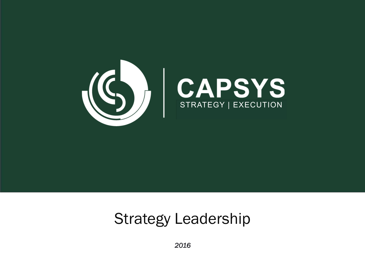

## Strategy Leadership

*2016*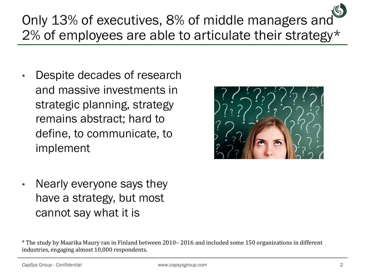## Only 13% of executives, 8% of middle managers and 2% of employees are able to articulate their strategy\*

• Despite decades of research and massive investments in strategic planning, strategy remains abstract; hard to define, to communicate, to implement



• Nearly everyone says they have a strategy, but most cannot say what it is

<sup>\*</sup> The study by Maarika Maury ran in Finland between 2010– 2016 and included some 150 organizations in different industries, engaging almost 10,000 respondents.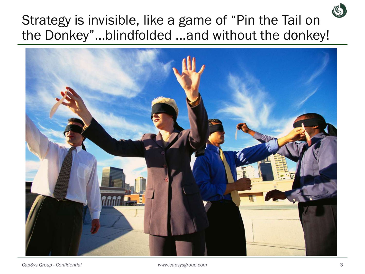## Strategy is invisible, like a game of "Pin the Tail on the Donkey"…blindfolded ...and without the donkey!

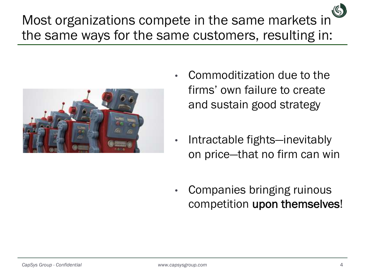Most organizations compete in the same markets in the same ways for the same customers, resulting in:



- Commoditization due to the firms' own failure to create and sustain good strategy
- Intractable fights—inevitably on price—that no firm can win
- Companies bringing ruinous competition upon themselves!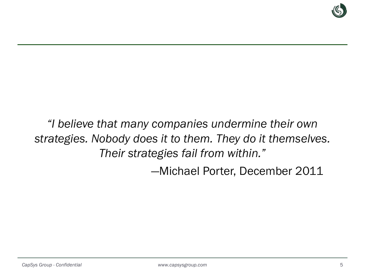

## *"I believe that many companies undermine their own strategies. Nobody does it to them. They do it themselves. Their strategies fail from within."*

—Michael Porter, December 2011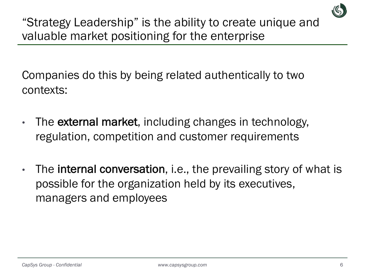

"Strategy Leadership" is the ability to create unique and valuable market positioning for the enterprise

Companies do this by being related authentically to two contexts:

- The external market, including changes in technology, regulation, competition and customer requirements
- The **internal conversation**, i.e., the prevailing story of what is possible for the organization held by its executives, managers and employees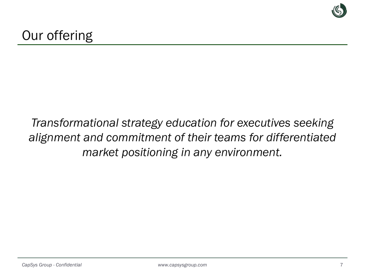

## *Transformational strategy education for executives seeking alignment and commitment of their teams for differentiated market positioning in any environment.*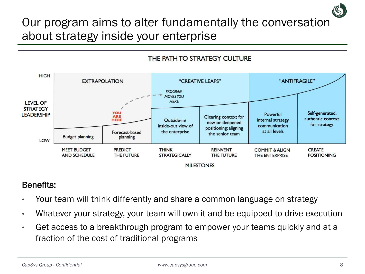## Our program aims to alter fundamentally the conversation about strategy inside your enterprise



#### Benefits:

- Your team will think differently and share a common language on strategy
- Whatever your strategy, your team will own it and be equipped to drive execution
- Get access to a breakthrough program to empower your teams quickly and at a fraction of the cost of traditional programs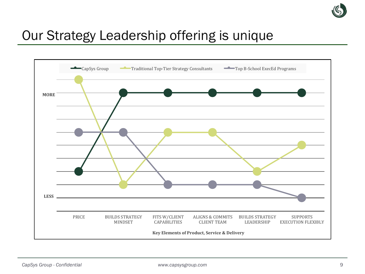

## Our Strategy Leadership offering is unique

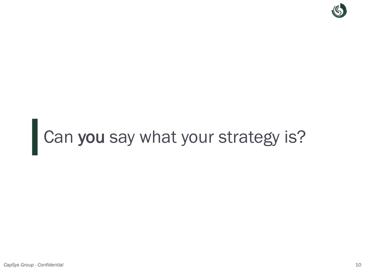

# Can you say what your strategy is?